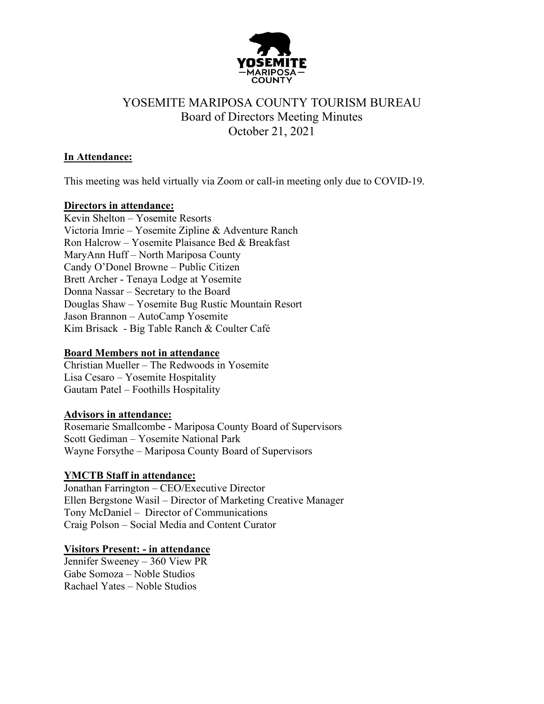

### **In Attendance:**

This meeting was held virtually via Zoom or call-in meeting only due to COVID-19.

### **Directors in attendance:**

Kevin Shelton – Yosemite Resorts Victoria Imrie – Yosemite Zipline & Adventure Ranch Ron Halcrow – Yosemite Plaisance Bed & Breakfast MaryAnn Huff – North Mariposa County Candy O'Donel Browne – Public Citizen Brett Archer - Tenaya Lodge at Yosemite Donna Nassar – Secretary to the Board Douglas Shaw – Yosemite Bug Rustic Mountain Resort Jason Brannon – AutoCamp Yosemite Kim Brisack - Big Table Ranch & Coulter Café

#### **Board Members not in attendance**

Christian Mueller – The Redwoods in Yosemite Lisa Cesaro – Yosemite Hospitality Gautam Patel – Foothills Hospitality

### **Advisors in attendance:**

Rosemarie Smallcombe - Mariposa County Board of Supervisors Scott Gediman – Yosemite National Park Wayne Forsythe – Mariposa County Board of Supervisors

### **YMCTB Staff in attendance:**

Jonathan Farrington – CEO/Executive Director Ellen Bergstone Wasil – Director of Marketing Creative Manager Tony McDaniel – Director of Communications Craig Polson – Social Media and Content Curator

#### **Visitors Present: - in attendance**

Jennifer Sweeney – 360 View PR Gabe Somoza – Noble Studios Rachael Yates – Noble Studios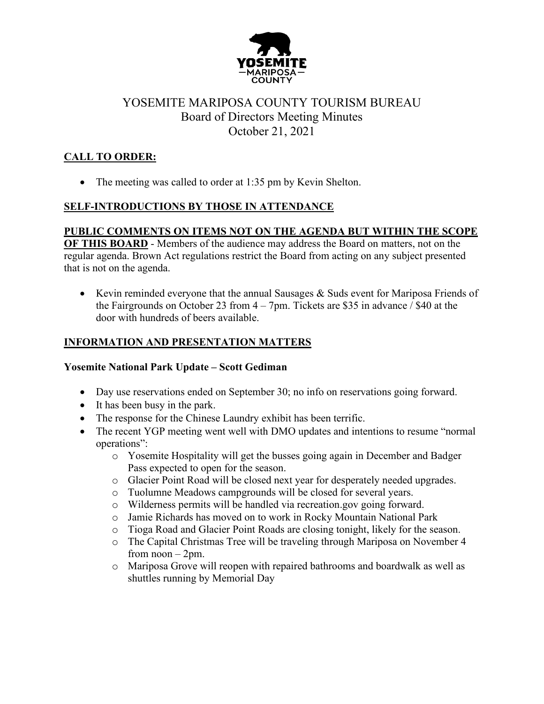

## **CALL TO ORDER:**

• The meeting was called to order at 1:35 pm by Kevin Shelton.

## **SELF-INTRODUCTIONS BY THOSE IN ATTENDANCE**

## **PUBLIC COMMENTS ON ITEMS NOT ON THE AGENDA BUT WITHIN THE SCOPE**

**OF THIS BOARD** - Members of the audience may address the Board on matters, not on the regular agenda. Brown Act regulations restrict the Board from acting on any subject presented that is not on the agenda.

• Kevin reminded everyone that the annual Sausages & Suds event for Mariposa Friends of the Fairgrounds on October 23 from  $4 - 7$ pm. Tickets are \$35 in advance / \$40 at the door with hundreds of beers available.

## **INFORMATION AND PRESENTATION MATTERS**

### **Yosemite National Park Update – Scott Gediman**

- Day use reservations ended on September 30; no info on reservations going forward.
- It has been busy in the park.
- The response for the Chinese Laundry exhibit has been terrific.
- The recent YGP meeting went well with DMO updates and intentions to resume "normal operations":
	- o Yosemite Hospitality will get the busses going again in December and Badger Pass expected to open for the season.
	- o Glacier Point Road will be closed next year for desperately needed upgrades.
	- o Tuolumne Meadows campgrounds will be closed for several years.
	- o Wilderness permits will be handled via recreation.gov going forward.
	- o Jamie Richards has moved on to work in Rocky Mountain National Park
	- o Tioga Road and Glacier Point Roads are closing tonight, likely for the season.
	- o The Capital Christmas Tree will be traveling through Mariposa on November 4 from  $noon - 2pm$ .
	- o Mariposa Grove will reopen with repaired bathrooms and boardwalk as well as shuttles running by Memorial Day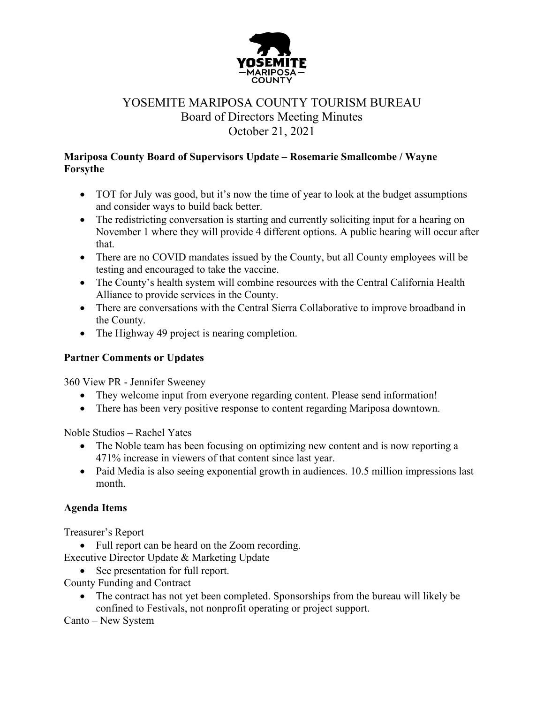

### **Mariposa County Board of Supervisors Update – Rosemarie Smallcombe / Wayne Forsythe**

- TOT for July was good, but it's now the time of year to look at the budget assumptions and consider ways to build back better.
- The redistricting conversation is starting and currently soliciting input for a hearing on November 1 where they will provide 4 different options. A public hearing will occur after that.
- There are no COVID mandates issued by the County, but all County employees will be testing and encouraged to take the vaccine.
- The County's health system will combine resources with the Central California Health Alliance to provide services in the County.
- There are conversations with the Central Sierra Collaborative to improve broadband in the County.
- The Highway 49 project is nearing completion.

### **Partner Comments or Updates**

360 View PR - Jennifer Sweeney

- They welcome input from everyone regarding content. Please send information!
- There has been very positive response to content regarding Mariposa downtown.

Noble Studios – Rachel Yates

- The Noble team has been focusing on optimizing new content and is now reporting a 471% increase in viewers of that content since last year.
- Paid Media is also seeing exponential growth in audiences. 10.5 million impressions last month.

### **Agenda Items**

Treasurer's Report

• Full report can be heard on the Zoom recording.

Executive Director Update & Marketing Update

• See presentation for full report.

County Funding and Contract

• The contract has not yet been completed. Sponsorships from the bureau will likely be confined to Festivals, not nonprofit operating or project support.

Canto – New System